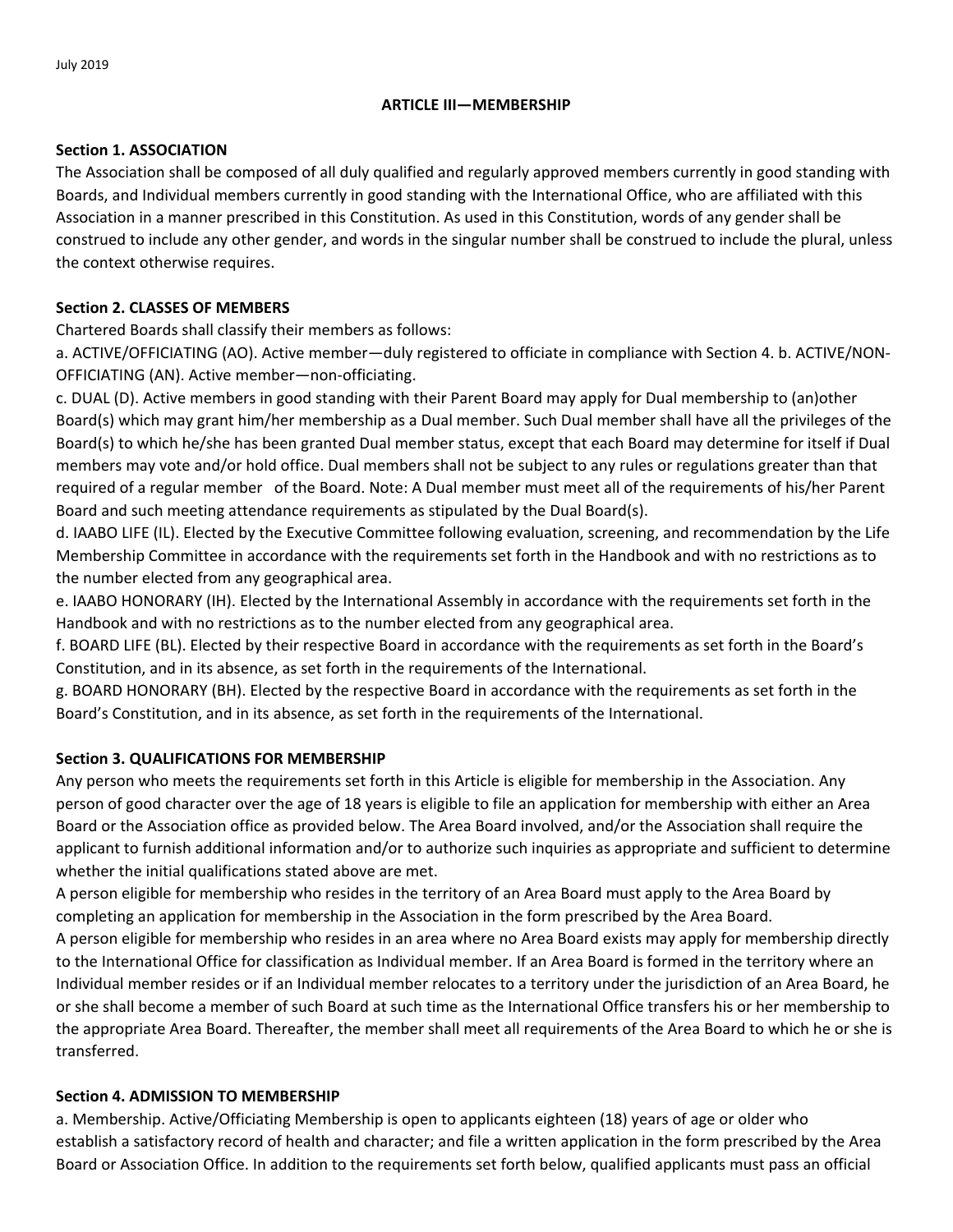## **ARTICLE III—MEMBERSHIP**

### **Section 1. ASSOCIATION**

The Association shall be composed of all duly qualified and regularly approved members currently in good standing with Boards, and Individual members currently in good standing with the International Office, who are affiliated with this Association in a manner prescribed in this Constitution. As used in this Constitution, words of any gender shall be construed to include any other gender, and words in the singular number shall be construed to include the plural, unless the context otherwise requires.

# **Section 2. CLASSES OF MEMBERS**

Chartered Boards shall classify their members as follows:

a. ACTIVE/OFFICIATING (AO). Active member—duly registered to officiate in compliance with Section 4. b. ACTIVE/NON‐ OFFICIATING (AN). Active member—non‐officiating.

c. DUAL (D). Active members in good standing with their Parent Board may apply for Dual membership to (an)other Board(s) which may grant him/her membership as a Dual member. Such Dual member shall have all the privileges of the Board(s) to which he/she has been granted Dual member status, except that each Board may determine for itself if Dual members may vote and/or hold office. Dual members shall not be subject to any rules or regulations greater than that required of a regular member of the Board. Note: A Dual member must meet all of the requirements of his/her Parent Board and such meeting attendance requirements as stipulated by the Dual Board(s).

d. IAABO LIFE (IL). Elected by the Executive Committee following evaluation, screening, and recommendation by the Life Membership Committee in accordance with the requirements set forth in the Handbook and with no restrictions as to the number elected from any geographical area.

e. IAABO HONORARY (IH). Elected by the International Assembly in accordance with the requirements set forth in the Handbook and with no restrictions as to the number elected from any geographical area.

f. BOARD LIFE (BL). Elected by their respective Board in accordance with the requirements as set forth in the Board's Constitution, and in its absence, as set forth in the requirements of the International.

g. BOARD HONORARY (BH). Elected by the respective Board in accordance with the requirements as set forth in the Board's Constitution, and in its absence, as set forth in the requirements of the International.

# **Section 3. QUALIFICATIONS FOR MEMBERSHIP**

Any person who meets the requirements set forth in this Article is eligible for membership in the Association. Any person of good character over the age of 18 years is eligible to file an application for membership with either an Area Board or the Association office as provided below. The Area Board involved, and/or the Association shall require the applicant to furnish additional information and/or to authorize such inquiries as appropriate and sufficient to determine whether the initial qualifications stated above are met.

A person eligible for membership who resides in the territory of an Area Board must apply to the Area Board by completing an application for membership in the Association in the form prescribed by the Area Board.

A person eligible for membership who resides in an area where no Area Board exists may apply for membership directly to the International Office for classification as Individual member. If an Area Board is formed in the territory where an Individual member resides or if an Individual member relocates to a territory under the jurisdiction of an Area Board, he or she shall become a member of such Board at such time as the International Office transfers his or her membership to the appropriate Area Board. Thereafter, the member shall meet all requirements of the Area Board to which he or she is transferred.

# **Section 4. ADMISSION TO MEMBERSHIP**

a. Membership. Active/Officiating Membership is open to applicants eighteen (18) years of age or older who establish a satisfactory record of health and character; and file a written application in the form prescribed by the Area Board or Association Office. In addition to the requirements set forth below, qualified applicants must pass an official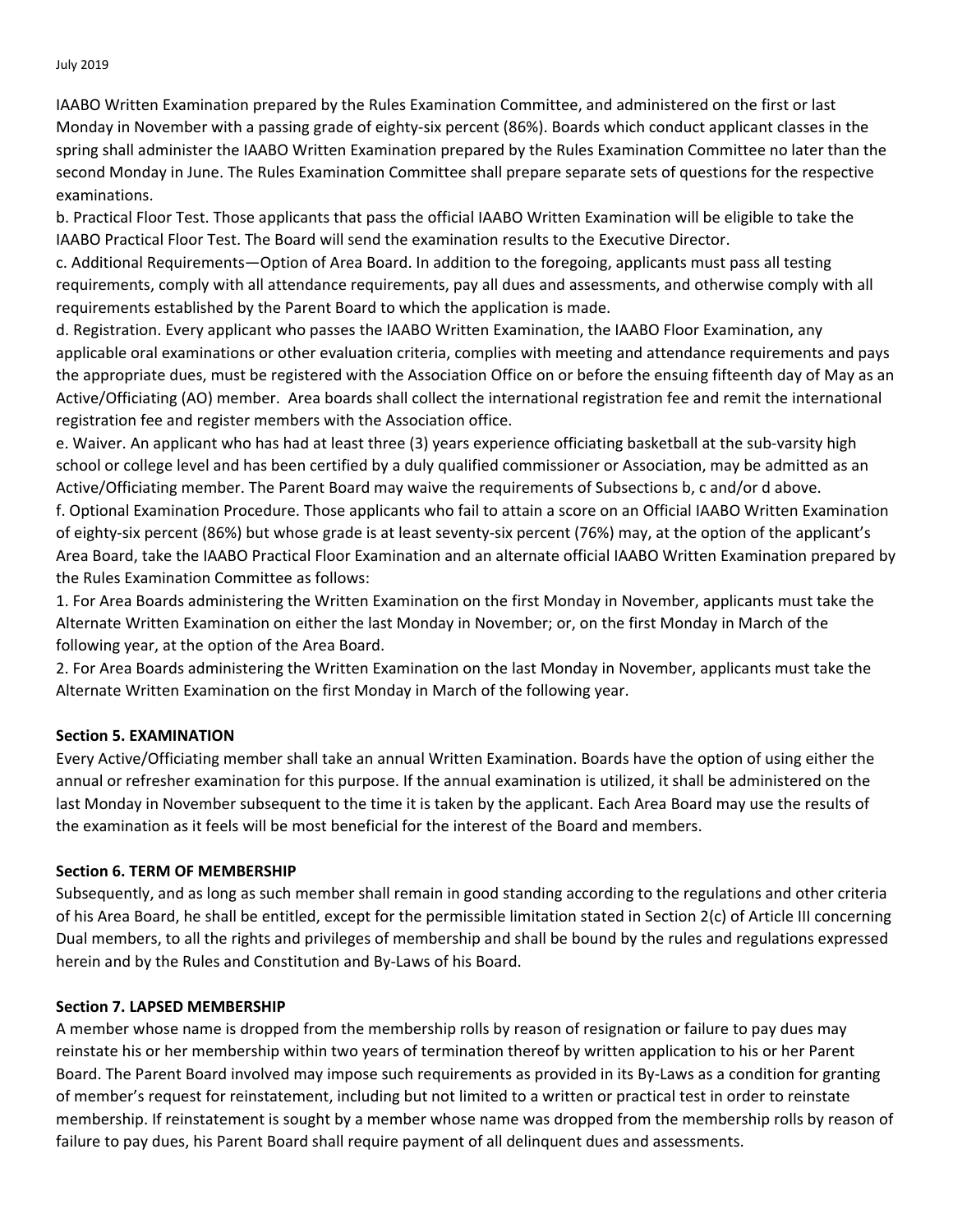July 2019

IAABO Written Examination prepared by the Rules Examination Committee, and administered on the first or last Monday in November with a passing grade of eighty‐six percent (86%). Boards which conduct applicant classes in the spring shall administer the IAABO Written Examination prepared by the Rules Examination Committee no later than the second Monday in June. The Rules Examination Committee shall prepare separate sets of questions for the respective examinations.

b. Practical Floor Test. Those applicants that pass the official IAABO Written Examination will be eligible to take the IAABO Practical Floor Test. The Board will send the examination results to the Executive Director.

c. Additional Requirements—Option of Area Board. In addition to the foregoing, applicants must pass all testing requirements, comply with all attendance requirements, pay all dues and assessments, and otherwise comply with all requirements established by the Parent Board to which the application is made.

d. Registration. Every applicant who passes the IAABO Written Examination, the IAABO Floor Examination, any applicable oral examinations or other evaluation criteria, complies with meeting and attendance requirements and pays the appropriate dues, must be registered with the Association Office on or before the ensuing fifteenth day of May as an Active/Officiating (AO) member. Area boards shall collect the international registration fee and remit the international registration fee and register members with the Association office.

e. Waiver. An applicant who has had at least three (3) years experience officiating basketball at the sub‐varsity high school or college level and has been certified by a duly qualified commissioner or Association, may be admitted as an Active/Officiating member. The Parent Board may waive the requirements of Subsections b, c and/or d above. f. Optional Examination Procedure. Those applicants who fail to attain a score on an Official IAABO Written Examination of eighty‐six percent (86%) but whose grade is at least seventy‐six percent (76%) may, at the option of the applicant's Area Board, take the IAABO Practical Floor Examination and an alternate official IAABO Written Examination prepared by the Rules Examination Committee as follows:

1. For Area Boards administering the Written Examination on the first Monday in November, applicants must take the Alternate Written Examination on either the last Monday in November; or, on the first Monday in March of the following year, at the option of the Area Board.

2. For Area Boards administering the Written Examination on the last Monday in November, applicants must take the Alternate Written Examination on the first Monday in March of the following year.

### **Section 5. EXAMINATION**

Every Active/Officiating member shall take an annual Written Examination. Boards have the option of using either the annual or refresher examination for this purpose. If the annual examination is utilized, it shall be administered on the last Monday in November subsequent to the time it is taken by the applicant. Each Area Board may use the results of the examination as it feels will be most beneficial for the interest of the Board and members.

### **Section 6. TERM OF MEMBERSHIP**

Subsequently, and as long as such member shall remain in good standing according to the regulations and other criteria of his Area Board, he shall be entitled, except for the permissible limitation stated in Section 2(c) of Article III concerning Dual members, to all the rights and privileges of membership and shall be bound by the rules and regulations expressed herein and by the Rules and Constitution and By‐Laws of his Board.

### **Section 7. LAPSED MEMBERSHIP**

A member whose name is dropped from the membership rolls by reason of resignation or failure to pay dues may reinstate his or her membership within two years of termination thereof by written application to his or her Parent Board. The Parent Board involved may impose such requirements as provided in its By-Laws as a condition for granting of member's request for reinstatement, including but not limited to a written or practical test in order to reinstate membership. If reinstatement is sought by a member whose name was dropped from the membership rolls by reason of failure to pay dues, his Parent Board shall require payment of all delinquent dues and assessments.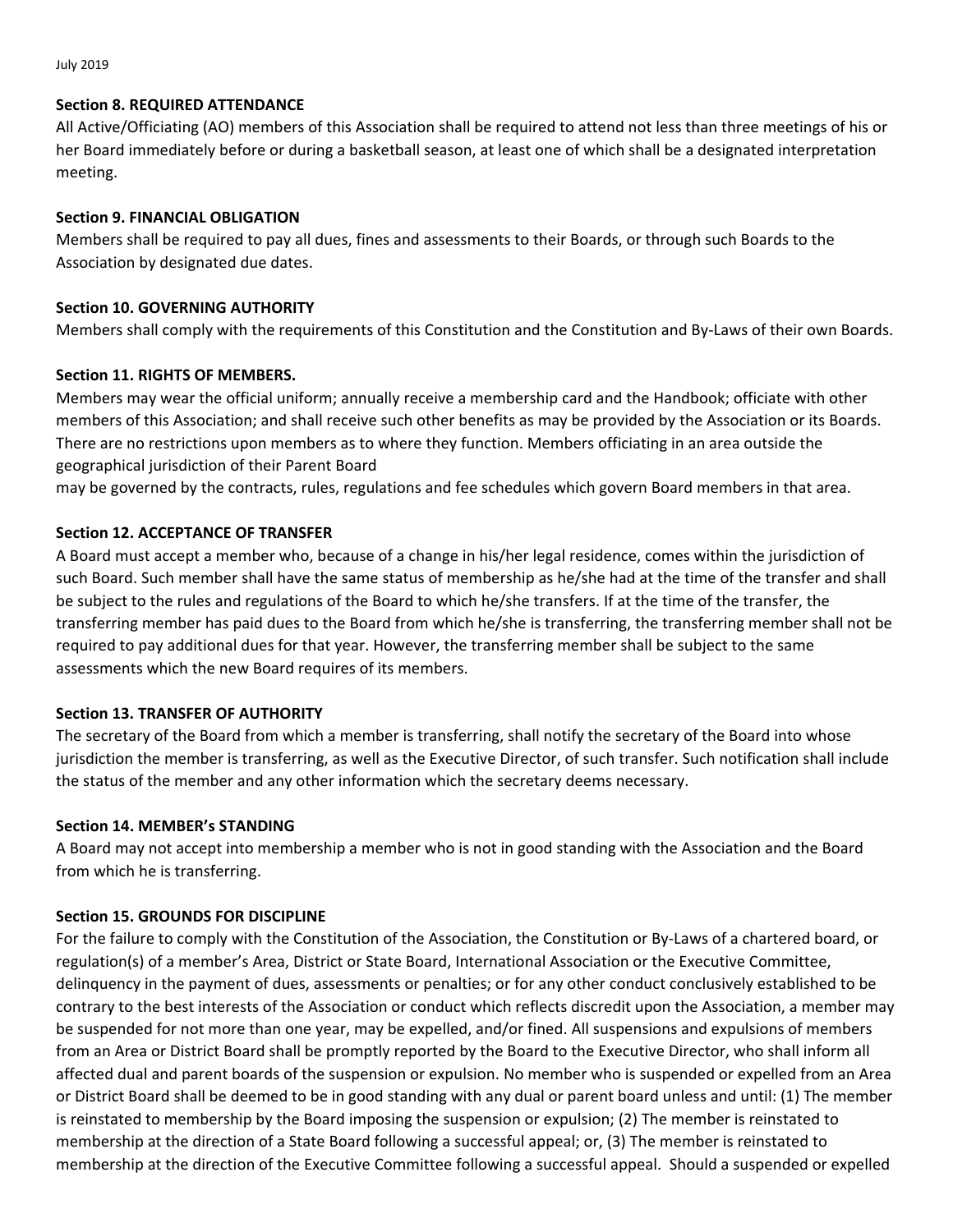July 2019

#### **Section 8. REQUIRED ATTENDANCE**

All Active/Officiating (AO) members of this Association shall be required to attend not less than three meetings of his or her Board immediately before or during a basketball season, at least one of which shall be a designated interpretation meeting.

### **Section 9. FINANCIAL OBLIGATION**

Members shall be required to pay all dues, fines and assessments to their Boards, or through such Boards to the Association by designated due dates.

### **Section 10. GOVERNING AUTHORITY**

Members shall comply with the requirements of this Constitution and the Constitution and By‐Laws of their own Boards.

## **Section 11. RIGHTS OF MEMBERS.**

Members may wear the official uniform; annually receive a membership card and the Handbook; officiate with other members of this Association; and shall receive such other benefits as may be provided by the Association or its Boards. There are no restrictions upon members as to where they function. Members officiating in an area outside the geographical jurisdiction of their Parent Board

may be governed by the contracts, rules, regulations and fee schedules which govern Board members in that area.

## **Section 12. ACCEPTANCE OF TRANSFER**

A Board must accept a member who, because of a change in his/her legal residence, comes within the jurisdiction of such Board. Such member shall have the same status of membership as he/she had at the time of the transfer and shall be subject to the rules and regulations of the Board to which he/she transfers. If at the time of the transfer, the transferring member has paid dues to the Board from which he/she is transferring, the transferring member shall not be required to pay additional dues for that year. However, the transferring member shall be subject to the same assessments which the new Board requires of its members.

### **Section 13. TRANSFER OF AUTHORITY**

The secretary of the Board from which a member is transferring, shall notify the secretary of the Board into whose jurisdiction the member is transferring, as well as the Executive Director, of such transfer. Such notification shall include the status of the member and any other information which the secretary deems necessary.

### **Section 14. MEMBER's STANDING**

A Board may not accept into membership a member who is not in good standing with the Association and the Board from which he is transferring.

### **Section 15. GROUNDS FOR DISCIPLINE**

For the failure to comply with the Constitution of the Association, the Constitution or By‐Laws of a chartered board, or regulation(s) of a member's Area, District or State Board, International Association or the Executive Committee, delinquency in the payment of dues, assessments or penalties; or for any other conduct conclusively established to be contrary to the best interests of the Association or conduct which reflects discredit upon the Association, a member may be suspended for not more than one year, may be expelled, and/or fined. All suspensions and expulsions of members from an Area or District Board shall be promptly reported by the Board to the Executive Director, who shall inform all affected dual and parent boards of the suspension or expulsion. No member who is suspended or expelled from an Area or District Board shall be deemed to be in good standing with any dual or parent board unless and until: (1) The member is reinstated to membership by the Board imposing the suspension or expulsion; (2) The member is reinstated to membership at the direction of a State Board following a successful appeal; or, (3) The member is reinstated to membership at the direction of the Executive Committee following a successful appeal. Should a suspended or expelled